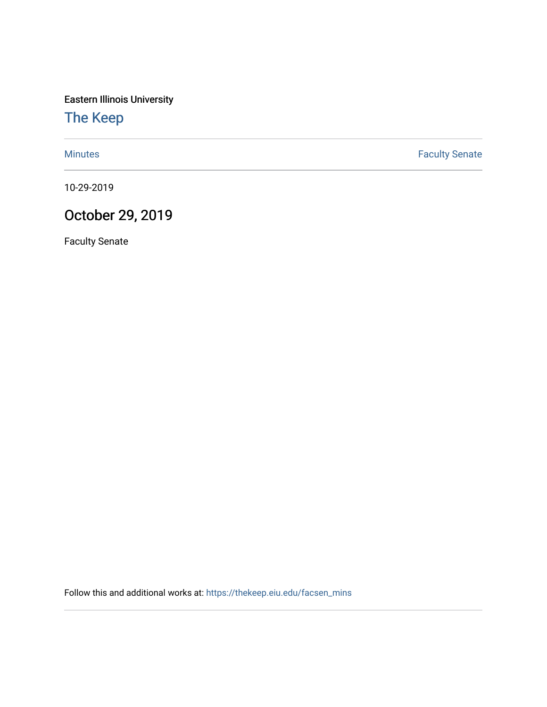Eastern Illinois University

## [The Keep](https://thekeep.eiu.edu/)

[Minutes](https://thekeep.eiu.edu/facsen_mins) **Faculty Senate** 

10-29-2019

## October 29, 2019

Faculty Senate

Follow this and additional works at: [https://thekeep.eiu.edu/facsen\\_mins](https://thekeep.eiu.edu/facsen_mins?utm_source=thekeep.eiu.edu%2Ffacsen_mins%2F1128&utm_medium=PDF&utm_campaign=PDFCoverPages)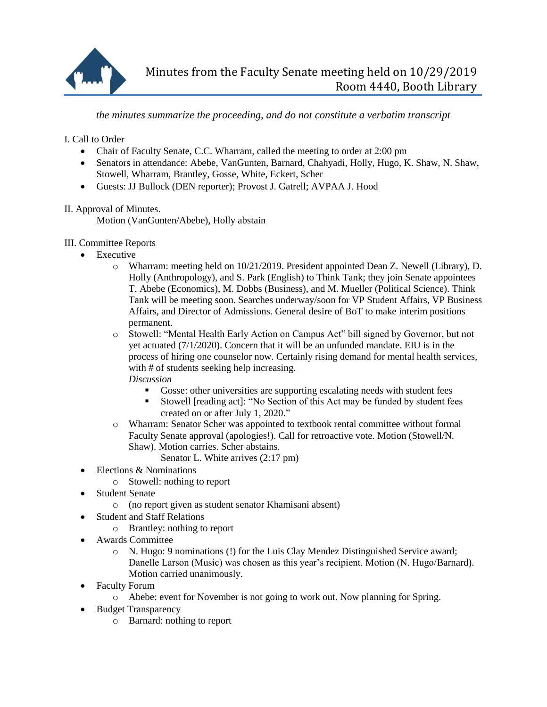

*the minutes summarize the proceeding, and do not constitute a verbatim transcript*

I. Call to Order

- Chair of Faculty Senate, C.C. Wharram, called the meeting to order at 2:00 pm
- Senators in attendance: Abebe, VanGunten, Barnard, Chahyadi, Holly, Hugo, K. Shaw, N. Shaw, Stowell, Wharram, Brantley, Gosse, White, Eckert, Scher
- Guests: JJ Bullock (DEN reporter); Provost J. Gatrell; AVPAA J. Hood

II. Approval of Minutes.

Motion (VanGunten/Abebe), Holly abstain

- III. Committee Reports
	- Executive
		- o Wharram: meeting held on 10/21/2019. President appointed Dean Z. Newell (Library), D. Holly (Anthropology), and S. Park (English) to Think Tank; they join Senate appointees T. Abebe (Economics), M. Dobbs (Business), and M. Mueller (Political Science). Think Tank will be meeting soon. Searches underway/soon for VP Student Affairs, VP Business Affairs, and Director of Admissions. General desire of BoT to make interim positions permanent.
		- o Stowell: "Mental Health Early Action on Campus Act" bill signed by Governor, but not yet actuated (7/1/2020). Concern that it will be an unfunded mandate. EIU is in the process of hiring one counselor now. Certainly rising demand for mental health services, with # of students seeking help increasing.
			- *Discussion*
				- Gosse: other universities are supporting escalating needs with student fees
				- Stowell [reading act]: "No Section of this Act may be funded by student fees created on or after July 1, 2020."
		- o Wharram: Senator Scher was appointed to textbook rental committee without formal Faculty Senate approval (apologies!). Call for retroactive vote. Motion (Stowell/N. Shaw). Motion carries. Scher abstains.
			- Senator L. White arrives (2:17 pm)
	- Elections & Nominations
		- o Stowell: nothing to report
	- Student Senate
		- o (no report given as student senator Khamisani absent)
	- Student and Staff Relations
		- o Brantley: nothing to report
	- Awards Committee
		- o N. Hugo: 9 nominations (!) for the Luis Clay Mendez Distinguished Service award; Danelle Larson (Music) was chosen as this year's recipient. Motion (N. Hugo/Barnard). Motion carried unanimously.
	- Faculty Forum
		- o Abebe: event for November is not going to work out. Now planning for Spring.
	- Budget Transparency
		- o Barnard: nothing to report